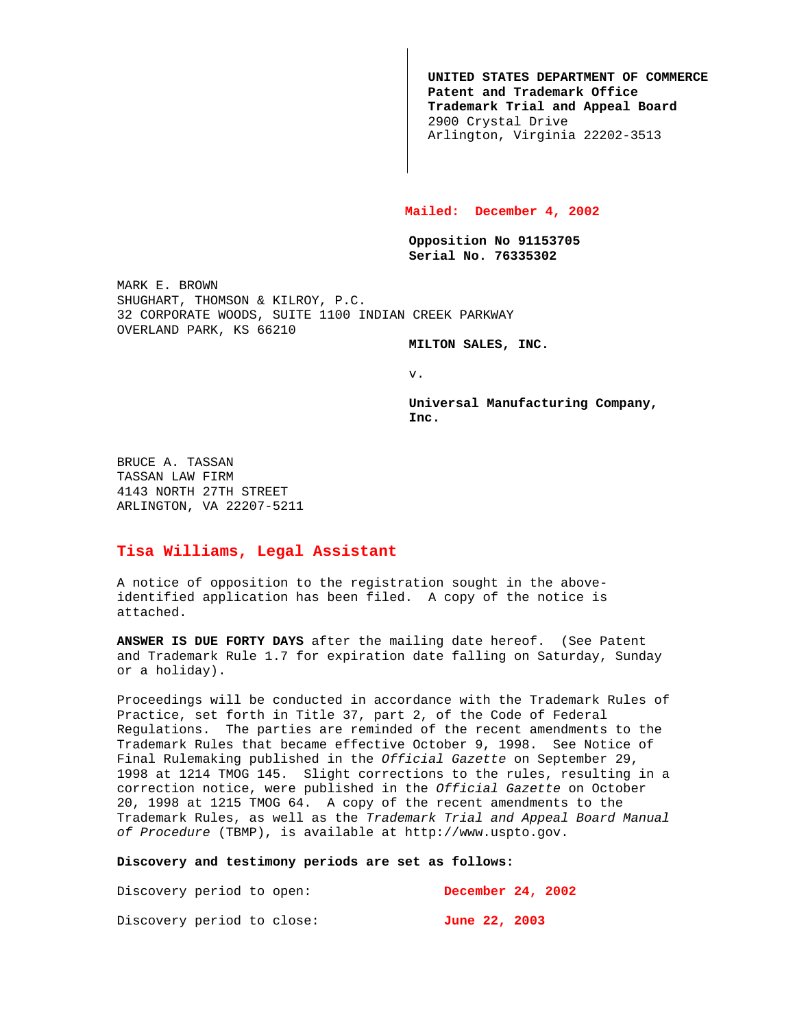**UNITED STATES DEPARTMENT OF COMMERCE Patent and Trademark Office Trademark Trial and Appeal Board** 2900 Crystal Drive Arlington, Virginia 22202-3513

## **Mailed: December 4, 2002**

**Opposition No 91153705 Serial No. 76335302**

MARK E. BROWN SHUGHART, THOMSON & KILROY, P.C. 32 CORPORATE WOODS, SUITE 1100 INDIAN CREEK PARKWAY OVERLAND PARK, KS 66210

**MILTON SALES, INC.**

v.

**Universal Manufacturing Company, Inc.**

BRUCE A. TASSAN TASSAN LAW FIRM 4143 NORTH 27TH STREET ARLINGTON, VA 22207-5211

## **Tisa Williams, Legal Assistant**

A notice of opposition to the registration sought in the aboveidentified application has been filed. A copy of the notice is attached.

**ANSWER IS DUE FORTY DAYS** after the mailing date hereof. (See Patent and Trademark Rule 1.7 for expiration date falling on Saturday, Sunday or a holiday).

Proceedings will be conducted in accordance with the Trademark Rules of Practice, set forth in Title 37, part 2, of the Code of Federal Regulations. The parties are reminded of the recent amendments to the Trademark Rules that became effective October 9, 1998. See Notice of Final Rulemaking published in the Official Gazette on September 29, 1998 at 1214 TMOG 145. Slight corrections to the rules, resulting in a correction notice, were published in the Official Gazette on October 20, 1998 at 1215 TMOG 64. A copy of the recent amendments to the Trademark Rules, as well as the Trademark Trial and Appeal Board Manual of Procedure (TBMP), is available at http://www.uspto.gov.

## **Discovery and testimony periods are set as follows:**

Discovery period to open: **December 24, 2002** Discovery period to close: **June 22, 2003**